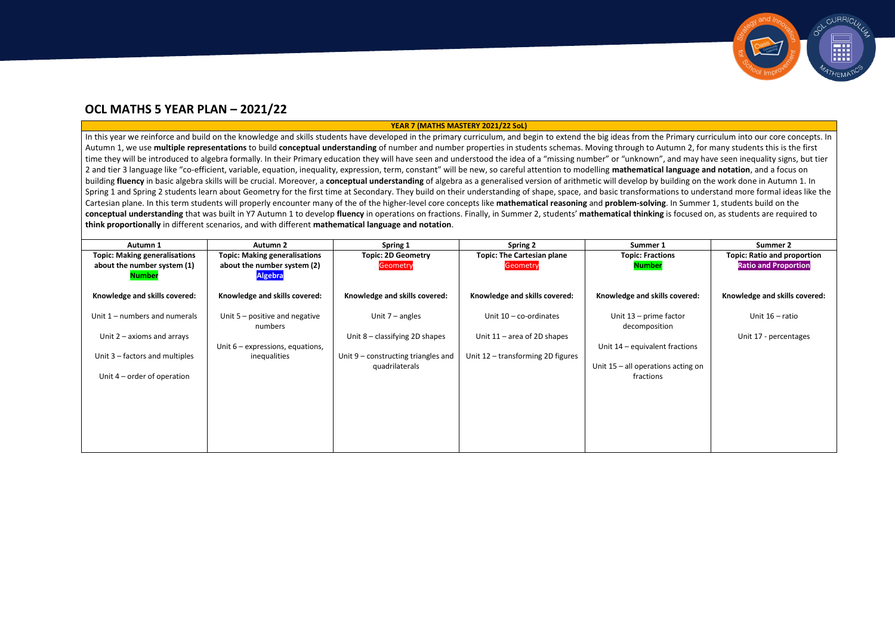# **YEAR 7 (MATHS MASTERY 2021/22 SoL)**

In this year we reinforce and build on the knowledge and skills students have developed in the primary curriculum, and begin to extend the big ideas from the Primary curriculum into our core concepts. In Autumn 1, we use **multiple representations** to build **conceptual understanding** of number and number properties in students schemas. Moving through to Autumn 2, for many students this is the first time they will be introduced to algebra formally. In their Primary education they will have seen and understood the idea of a "missing number" or "unknown", and may have seen inequality signs, but tier 2 and tier 3 language like "co-efficient, variable, equation, inequality, expression, term, constant" will be new, so careful attention to modelling **mathematical language and notation**, and a focus on building **fluency** in basic algebra skills will be crucial. Moreover, a **conceptual understanding** of algebra as a generalised version of arithmetic will develop by building on the work done in Autumn 1. In Spring 1 and Spring 2 students learn about Geometry for the first time at Secondary. They build on their understanding of shape, space, and basic transformations to understand more formal ideas like the Cartesian plane. In this term students will properly encounter many of the of the higher-level core concepts like **mathematical reasoning** and **problem-solving**. In Summer 1, students build on the **conceptual understanding** that was built in Y7 Autumn 1 to develop **fluency** in operations on fractions. Finally, in Summer 2, students' **mathematical thinking** is focused on, as students are required to **think proportionally** in different scenarios, and with different **mathematical language and notation**.

| Autumn 1                             | <b>Autumn 2</b>                             | Spring 1                              | <b>Spring 2</b>                   | Summer 1                                | Summer 2                           |
|--------------------------------------|---------------------------------------------|---------------------------------------|-----------------------------------|-----------------------------------------|------------------------------------|
| <b>Topic: Making generalisations</b> | <b>Topic: Making generalisations</b>        | <b>Topic: 2D Geometry</b>             | <b>Topic: The Cartesian plane</b> | <b>Topic: Fractions</b>                 | <b>Topic: Ratio and proportion</b> |
| about the number system (1)          | about the number system (2)                 | Geometry                              | <b>Geometry</b>                   | <b>Number</b>                           | <b>Ratio and Proportion</b>        |
| <u>Number</u>                        | <b>Algebra</b>                              |                                       |                                   |                                         |                                    |
| Knowledge and skills covered:        | Knowledge and skills covered:               | Knowledge and skills covered:         | Knowledge and skills covered:     | Knowledge and skills covered:           | Knowledge and skills covered:      |
| Unit $1$ – numbers and numerals      | Unit $5$ – positive and negative<br>numbers | Unit $7$ – angles                     | Unit $10 - co-ordinates$          | Unit 13 - prime factor<br>decomposition | Unit 16 - ratio                    |
| Unit $2 - axioms$ and arrays         |                                             | Unit 8 - classifying 2D shapes        | Unit $11$ – area of 2D shapes     |                                         | Unit 17 - percentages              |
|                                      | Unit $6$ – expressions, equations,          |                                       |                                   | Unit 14 – equivalent fractions          |                                    |
| Unit 3 – factors and multiples       | inequalities                                | Unit $9$ – constructing triangles and | Unit 12 - transforming 2D figures |                                         |                                    |
|                                      |                                             | quadrilaterals                        |                                   | Unit $15 -$ all operations acting on    |                                    |
| Unit $4$ – order of operation        |                                             |                                       |                                   | fractions                               |                                    |
|                                      |                                             |                                       |                                   |                                         |                                    |
|                                      |                                             |                                       |                                   |                                         |                                    |
|                                      |                                             |                                       |                                   |                                         |                                    |
|                                      |                                             |                                       |                                   |                                         |                                    |
|                                      |                                             |                                       |                                   |                                         |                                    |
|                                      |                                             |                                       |                                   |                                         |                                    |



# **OCL MATHS 5 YEAR PLAN – 2021/22**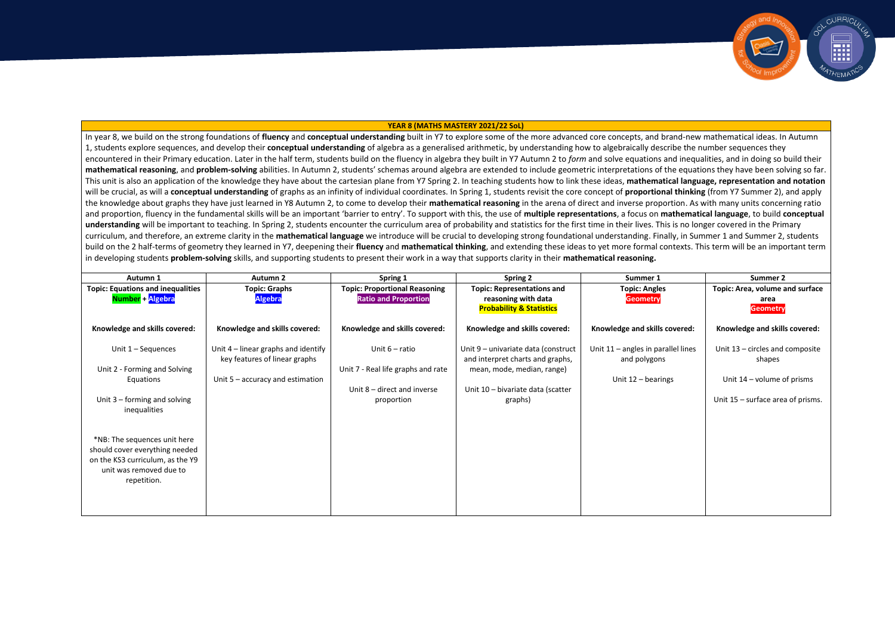### **YEAR 8 (MATHS MASTERY 2021/22 SoL)**

In year 8, we build on the strong foundations of **fluency** and **conceptual understanding** built in Y7 to explore some of the more advanced core concepts, and brand-new mathematical ideas. In Autumn 1, students explore sequences, and develop their **conceptual understanding** of algebra as a generalised arithmetic, by understanding how to algebraically describe the number sequences they encountered in their Primary education. Later in the half term, students build on the fluency in algebra they built in Y7 Autumn 2 to *form* and solve equations and inequalities, and in doing so build their **mathematical reasoning**, and **problem-solving** abilities. In Autumn 2, students' schemas around algebra are extended to include geometric interpretations of the equations they have been solving so far. This unit is also an application of the knowledge they have about the cartesian plane from Y7 Spring 2. In teaching students how to link these ideas, **mathematical language, representation and notation** will be crucial, as will a conceptual understanding of graphs as an infinity of individual coordinates. In Spring 1, students revisit the core concept of proportional thinking (from Y7 Summer 2), and apply the knowledge about graphs they have just learned in Y8 Autumn 2, to come to develop their **mathematical reasoning** in the arena of direct and inverse proportion. As with many units concerning ratio and proportion, fluency in the fundamental skills will be an important 'barrier to entry'. To support with this, the use of **multiple representations**, a focus on **mathematical language**, to build **conceptual** understanding will be important to teaching. In Spring 2, students encounter the curriculum area of probability and statistics for the first time in their lives. This is no longer covered in the Primary curriculum, and therefore, an extreme clarity in the **mathematical language** we introduce will be crucial to developing strong foundational understanding. Finally, in Summer 1 and Summer 2, students build on the 2 half-terms of geometry they learned in Y7, deepening their **fluency** and **mathematical thinking**, and extending these ideas to yet more formal contexts. This term will be an important term in developing students **problem-solving** skills, and supporting students to present their work in a way that supports clarity in their **mathematical reasoning.**

| Autumn 1                                                                                                                                                     | <b>Autumn 2</b>                                                                                              | Spring 1                                                                                              | <b>Spring 2</b>                                                                                                                                       | Summer 1                                                                     | Summer 2                                                                                                       |
|--------------------------------------------------------------------------------------------------------------------------------------------------------------|--------------------------------------------------------------------------------------------------------------|-------------------------------------------------------------------------------------------------------|-------------------------------------------------------------------------------------------------------------------------------------------------------|------------------------------------------------------------------------------|----------------------------------------------------------------------------------------------------------------|
| <b>Topic: Equations and inequalities</b><br>Number + Algebra                                                                                                 | <b>Topic: Graphs</b><br><b>Algebra</b>                                                                       | <b>Topic: Proportional Reasoning</b><br><b>Ratio and Proportion</b>                                   | <b>Topic: Representations and</b><br>reasoning with data<br><b>Probability &amp; Statistics</b>                                                       | <b>Topic: Angles</b><br><b>Geometry</b>                                      | Topic: Area, volume and surface<br>area<br><b>Geometry</b>                                                     |
| Knowledge and skills covered:                                                                                                                                | Knowledge and skills covered:                                                                                | Knowledge and skills covered:                                                                         | Knowledge and skills covered:                                                                                                                         | Knowledge and skills covered:                                                | Knowledge and skills covered:                                                                                  |
| Unit $1 -$ Sequences<br>Unit 2 - Forming and Solving<br>Equations<br>Unit $3$ – forming and solving                                                          | Unit $4$ – linear graphs and identify<br>key features of linear graphs<br>Unit $5 -$ accuracy and estimation | Unit $6$ – ratio<br>Unit 7 - Real life graphs and rate<br>Unit $8$ – direct and inverse<br>proportion | Unit 9 - univariate data (construct<br>and interpret charts and graphs,<br>mean, mode, median, range)<br>Unit 10 - bivariate data (scatter<br>graphs) | Unit $11$ – angles in parallel lines<br>and polygons<br>Unit $12 -$ bearings | Unit 13 – circles and composite<br>shapes<br>Unit $14$ – volume of prisms<br>Unit 15 – surface area of prisms. |
| inequalities<br>*NB: The sequences unit here<br>should cover everything needed<br>on the KS3 curriculum, as the Y9<br>unit was removed due to<br>repetition. |                                                                                                              |                                                                                                       |                                                                                                                                                       |                                                                              |                                                                                                                |

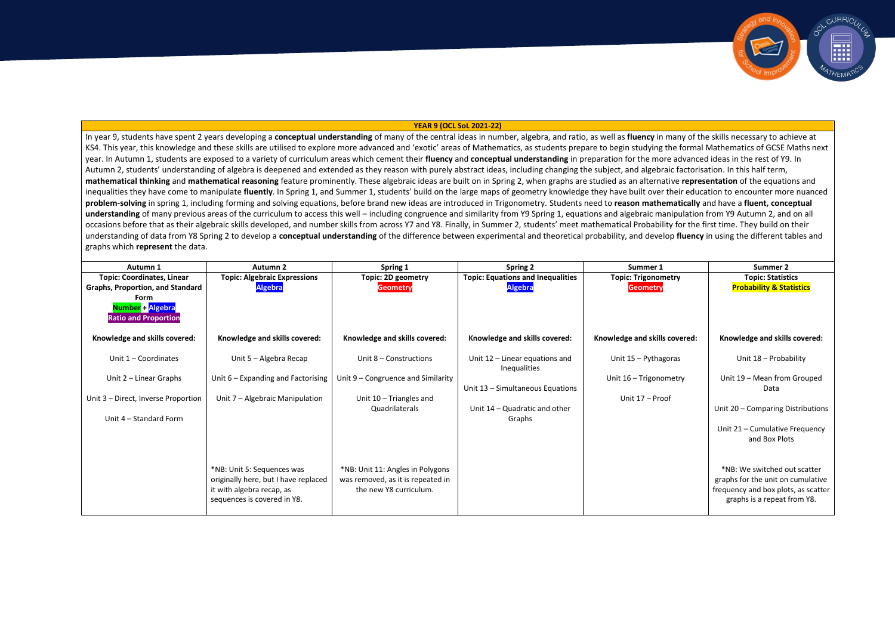#### **YEAR 9 (OCL SoL 2021-22)**

In year 9, students have spent 2 years developing a **conceptual understanding** of many of the central ideas in number, algebra, and ratio, as well as **fluency** in many of the skills necessary to achieve at KS4. This vear, this knowledge and these skills are utilised to explore more advanced and 'exotic' areas of Mathematics, as students prepare to begin studying the formal Mathematics of GCSE Maths next year. In Autumn 1, students are exposed to a variety of curriculum areas which cement their **fluency** and **conceptual understanding** in preparation for the more advanced ideas in the rest of Y9. In Autumn 2, students' understanding of algebra is deepened and extended as they reason with purely abstract ideas, including changing the subject, and algebraic factorisation. In this half term, **mathematical thinking** and **mathematical reasoning** feature prominently. These algebraic ideas are built on in Spring 2, when graphs are studied as an alternative **representation** of the equations and inequalities they have come to manipulate **fluently**. In Spring 1, and Summer 1, students' build on the large maps of geometry knowledge they have built over their education to encounter more nuanced **problem-solving** in spring 1, including forming and solving equations, before brand new ideas are introduced in Trigonometry. Students need to **reason mathematically** and have a **fluent, conceptual**  understanding of many previous areas of the curriculum to access this well – including congruence and similarity from Y9 Spring 1, equations and algebraic manipulation from Y9 Autumn 2, and on all occasions before that as their algebraic skills developed, and number skills from across Y7 and Y8. Finally, in Summer 2, students' meet mathematical Probability for the first time. They build on their understanding of data from Y8 Spring 2 to develop a **conceptual understanding** of the difference between experimental and theoretical probability, and develop **fluency** in using the different tables and graphs which **represent** the data.

| Autumn 1                                                | <b>Autumn 2</b>                                          | Spring 1                           | Spring 2                                              | Summer 1                      | <b>Summer 2</b>                                                    |
|---------------------------------------------------------|----------------------------------------------------------|------------------------------------|-------------------------------------------------------|-------------------------------|--------------------------------------------------------------------|
| <b>Topic: Coordinates, Linear</b>                       | <b>Topic: Algebraic Expressions</b>                      | Topic: 2D geometry                 | <b>Topic: Equations and Inequalities</b>              | <b>Topic: Trigonometry</b>    | <b>Topic: Statistics</b>                                           |
| <b>Graphs, Proportion, and Standard</b>                 | <b>Algebra</b>                                           | <b>Geometry</b>                    | <b>Algebra</b>                                        | Geometry                      | <b>Probability &amp; Statistics</b>                                |
| Form<br>Number + Algebra<br><b>Ratio and Proportion</b> |                                                          |                                    |                                                       |                               |                                                                    |
| Knowledge and skills covered:                           | Knowledge and skills covered:                            | Knowledge and skills covered:      | Knowledge and skills covered:                         | Knowledge and skills covered: | Knowledge and skills covered:                                      |
| Unit $1$ – Coordinates                                  | Unit 5 - Algebra Recap                                   | Unit 8 – Constructions             | Unit 12 - Linear equations and<br><b>Inequalities</b> | Unit 15 - Pythagoras          | Unit 18 - Probability                                              |
| Unit $2$ – Linear Graphs                                | Unit 6 – Expanding and Factorising                       | Unit 9 – Congruence and Similarity |                                                       | Unit 16 - Trigonometry        | Unit 19 - Mean from Grouped                                        |
|                                                         |                                                          |                                    | Unit 13 - Simultaneous Equations                      |                               | Data                                                               |
| Unit 3 - Direct, Inverse Proportion                     | Unit 7 - Algebraic Manipulation                          | Unit $10$ – Triangles and          |                                                       | Unit 17 - Proof               |                                                                    |
| Unit 4 – Standard Form                                  |                                                          | Quadrilaterals                     | Unit 14 – Quadratic and other                         |                               | Unit 20 - Comparing Distributions                                  |
|                                                         |                                                          |                                    | Graphs                                                |                               | Unit 21 - Cumulative Frequency                                     |
|                                                         |                                                          |                                    |                                                       |                               | and Box Plots                                                      |
|                                                         |                                                          |                                    |                                                       |                               |                                                                    |
|                                                         | *NB: Unit 5: Sequences was                               | *NB: Unit 11: Angles in Polygons   |                                                       |                               | *NB: We switched out scatter                                       |
|                                                         | originally here, but I have replaced                     | was removed, as it is repeated in  |                                                       |                               | graphs for the unit on cumulative                                  |
|                                                         | it with algebra recap, as<br>sequences is covered in Y8. | the new Y8 curriculum.             |                                                       |                               | frequency and box plots, as scatter<br>graphs is a repeat from Y8. |

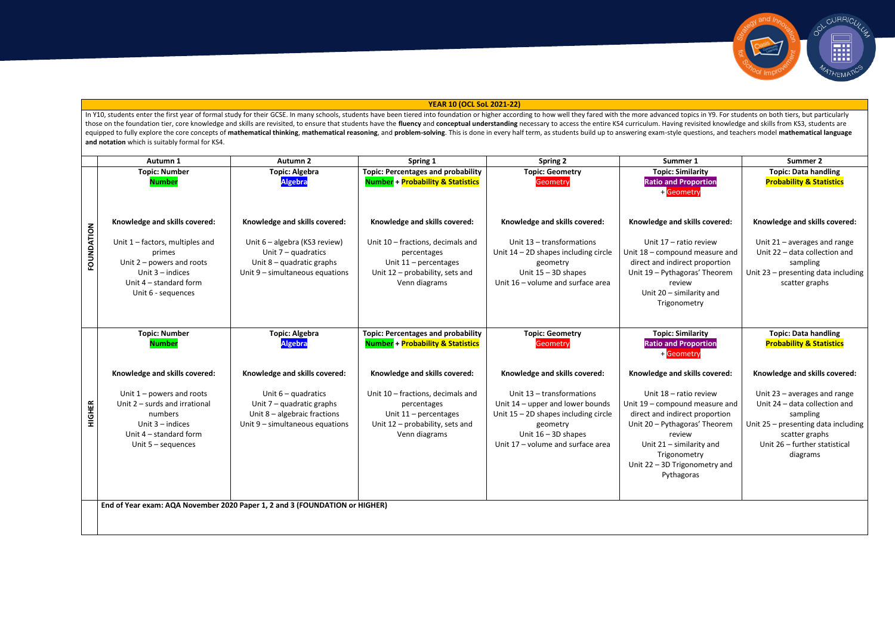## **YEAR 10 (OCL SoL 2021-22)**

CURRIC

In Y10, students enter the first year of formal study for their GCSE. In many schools, students have been tiered into foundation or higher according to how well they fared with the more advanced topics in Y9. For students those on the foundation tier, core knowledge and skills are revisited, to ensure that students have the fluency and conceptual understanding necessary to access the entire KS4 curriculum. Having revisited knowledge and ski equipped to fully explore the core concepts of mathematical thinking, mathematical reasoning, and problem-solving. This is done in every half term, as students build up to answering exam-style questions, and teachers model **and notation** which is suitably formal for KS4.

|               | Autumn 1                                                                                                                                                                           | Autumn <sub>2</sub>                                                                                                                                          | Spring 1                                                                                                                                                         | <b>Spring 2</b>                                                                                                                                                                                                    | Summer 1                                                                                                                                                                                                                                                            | Summer 2                                                                                                                                                                                                           |
|---------------|------------------------------------------------------------------------------------------------------------------------------------------------------------------------------------|--------------------------------------------------------------------------------------------------------------------------------------------------------------|------------------------------------------------------------------------------------------------------------------------------------------------------------------|--------------------------------------------------------------------------------------------------------------------------------------------------------------------------------------------------------------------|---------------------------------------------------------------------------------------------------------------------------------------------------------------------------------------------------------------------------------------------------------------------|--------------------------------------------------------------------------------------------------------------------------------------------------------------------------------------------------------------------|
|               | <b>Topic: Number</b><br><b>Number</b>                                                                                                                                              | <b>Topic: Algebra</b><br><b>Algebra</b>                                                                                                                      | <b>Topic: Percentages and probability</b><br><b>Number + Probability &amp; Statistics</b>                                                                        | <b>Topic: Geometry</b><br>Geometry                                                                                                                                                                                 | <b>Topic: Similarity</b><br><b>Ratio and Proportion</b><br>Geometry                                                                                                                                                                                                 | <b>Topic: Data handling</b><br><b>Probability &amp; Statistics</b>                                                                                                                                                 |
| FOUNDATION    | Knowledge and skills covered:<br>Unit $1$ – factors, multiples and<br>primes<br>Unit $2$ – powers and roots<br>Unit $3$ – indices<br>Unit 4 – standard form<br>Unit 6 - sequences  | Knowledge and skills covered:<br>Unit 6 - algebra (KS3 review)<br>Unit $7 -$ quadratics<br>Unit $8 -$ quadratic graphs<br>Unit 9 - simultaneous equations    | Knowledge and skills covered:<br>Unit 10 - fractions, decimals and<br>percentages<br>Unit $11$ – percentages<br>Unit 12 - probability, sets and<br>Venn diagrams | Knowledge and skills covered:<br>Unit 13 - transformations<br>Unit $14 - 2D$ shapes including circle<br>geometry<br>Unit $15 - 3D$ shapes<br>Unit 16 - volume and surface area                                     | Knowledge and skills covered:<br>Unit 17 - ratio review<br>Unit 18 - compound measure and<br>direct and indirect proportion<br>Unit 19 - Pythagoras' Theorem<br>review<br>Unit 20 - similarity and<br>Trigonometry                                                  | Knowledge and skills covered:<br>Unit $21$ – averages and range<br>Unit 22 - data collection and<br>sampling<br>Unit 23 - presenting data including<br>scatter graphs                                              |
|               | <b>Topic: Number</b><br><b>Number</b>                                                                                                                                              | <b>Topic: Algebra</b><br><b>Algebra</b>                                                                                                                      | <b>Topic: Percentages and probability</b><br><b>Number + Probability &amp; Statistics</b>                                                                        | <b>Topic: Geometry</b><br>Geometry                                                                                                                                                                                 | <b>Topic: Similarity</b><br><b>Ratio and Proportion</b><br>+ Geometry                                                                                                                                                                                               | <b>Topic: Data handling</b><br><b>Probability &amp; Statistics</b>                                                                                                                                                 |
| <b>HIGHER</b> | Knowledge and skills covered:<br>Unit $1$ – powers and roots<br>Unit $2$ – surds and irrational<br>numbers<br>Unit $3$ – indices<br>Unit 4 - standard form<br>Unit $5 -$ sequences | Knowledge and skills covered:<br>Unit $6 -$ quadratics<br>Unit $7$ – quadratic graphs<br>Unit $8$ – algebraic fractions<br>Unit $9$ – simultaneous equations | Knowledge and skills covered:<br>Unit 10 - fractions, decimals and<br>percentages<br>Unit $11$ – percentages<br>Unit 12 - probability, sets and<br>Venn diagrams | Knowledge and skills covered:<br>Unit 13 - transformations<br>Unit 14 - upper and lower bounds<br>Unit $15 - 2D$ shapes including circle<br>geometry<br>Unit $16 - 3D$ shapes<br>Unit 17 - volume and surface area | Knowledge and skills covered:<br>Unit 18 – ratio review<br>Unit 19 - compound measure and<br>direct and indirect proportion<br>Unit 20 - Pythagoras' Theorem<br>review<br>Unit $21 -$ similarity and<br>Trigonometry<br>Unit 22 - 3D Trigonometry and<br>Pythagoras | Knowledge and skills covered:<br>Unit $23$ – averages and range<br>Unit 24 - data collection and<br>sampling<br>Unit 25 - presenting data including<br>scatter graphs<br>Unit 26 - further statistical<br>diagrams |
|               |                                                                                                                                                                                    | End of Year exam: AQA November 2020 Paper 1, 2 and 3 (FOUNDATION or HIGHER)                                                                                  |                                                                                                                                                                  |                                                                                                                                                                                                                    |                                                                                                                                                                                                                                                                     |                                                                                                                                                                                                                    |